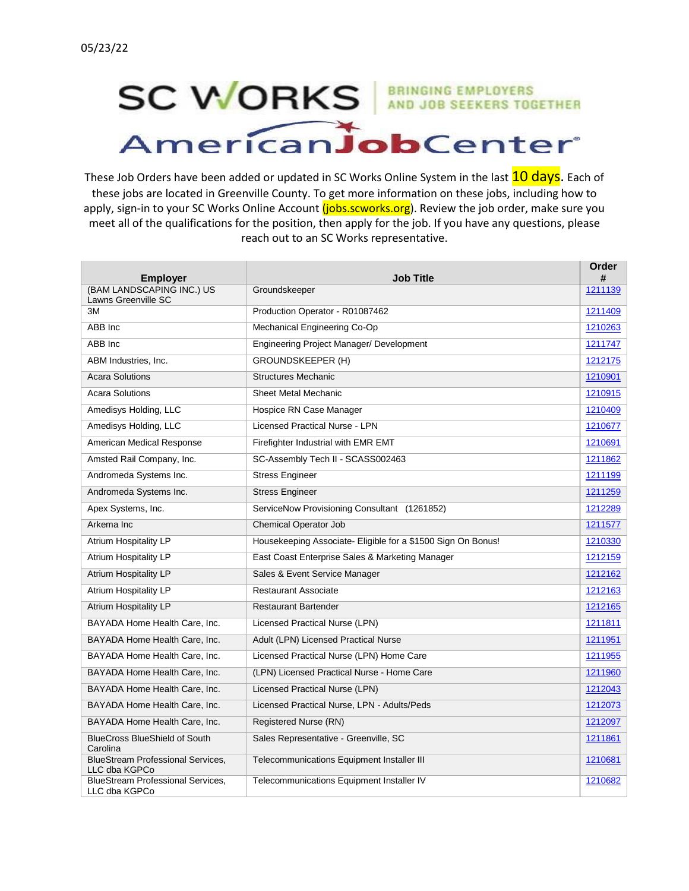## **SC WORKS** AND JOB SEEKERS TOGETHER AmericanJobCenter

These Job Orders have been added or updated in SC Works Online System in the last **10 days**. Each of these jobs are located in Greenville County. To get more information on these jobs, including how to apply, sign-in to your SC Works Online Account (jobs.scworks.org). Review the job order, make sure you meet all of the qualifications for the position, then apply for the job. If you have any questions, please reach out to an SC Works representative.

| <b>Employer</b>                                           | <b>Job Title</b>                                             | Order<br># |
|-----------------------------------------------------------|--------------------------------------------------------------|------------|
| (BAM LANDSCAPING INC.) US<br>Lawns Greenville SC          | Groundskeeper                                                | 1211139    |
| 3M                                                        | Production Operator - R01087462                              | 1211409    |
| ABB Inc                                                   | Mechanical Engineering Co-Op                                 | 1210263    |
| ABB Inc                                                   | Engineering Project Manager/ Development                     | 1211747    |
| ABM Industries, Inc.                                      | <b>GROUNDSKEEPER (H)</b>                                     | 1212175    |
| <b>Acara Solutions</b>                                    | <b>Structures Mechanic</b>                                   | 1210901    |
| <b>Acara Solutions</b>                                    | Sheet Metal Mechanic                                         | 1210915    |
| Amedisys Holding, LLC                                     | Hospice RN Case Manager                                      | 1210409    |
| Amedisys Holding, LLC                                     | <b>Licensed Practical Nurse - LPN</b>                        | 1210677    |
| American Medical Response                                 | Firefighter Industrial with EMR EMT                          | 1210691    |
| Amsted Rail Company, Inc.                                 | SC-Assembly Tech II - SCASS002463                            | 1211862    |
| Andromeda Systems Inc.                                    | <b>Stress Engineer</b>                                       | 1211199    |
| Andromeda Systems Inc.                                    | <b>Stress Engineer</b>                                       | 1211259    |
| Apex Systems, Inc.                                        | ServiceNow Provisioning Consultant (1261852)                 | 1212289    |
| Arkema Inc                                                | <b>Chemical Operator Job</b>                                 | 1211577    |
| <b>Atrium Hospitality LP</b>                              | Housekeeping Associate- Eligible for a \$1500 Sign On Bonus! | 1210330    |
| <b>Atrium Hospitality LP</b>                              | East Coast Enterprise Sales & Marketing Manager              | 1212159    |
| <b>Atrium Hospitality LP</b>                              | Sales & Event Service Manager                                | 1212162    |
| Atrium Hospitality LP                                     | Restaurant Associate                                         | 1212163    |
| Atrium Hospitality LP                                     | <b>Restaurant Bartender</b>                                  | 1212165    |
| BAYADA Home Health Care, Inc.                             | Licensed Practical Nurse (LPN)                               | 1211811    |
| BAYADA Home Health Care, Inc.                             | Adult (LPN) Licensed Practical Nurse                         | 1211951    |
| BAYADA Home Health Care, Inc.                             | Licensed Practical Nurse (LPN) Home Care                     | 1211955    |
| BAYADA Home Health Care, Inc.                             | (LPN) Licensed Practical Nurse - Home Care                   | 1211960    |
| BAYADA Home Health Care, Inc.                             | Licensed Practical Nurse (LPN)                               | 1212043    |
| BAYADA Home Health Care, Inc.                             | Licensed Practical Nurse, LPN - Adults/Peds                  | 1212073    |
| BAYADA Home Health Care, Inc.                             | Registered Nurse (RN)                                        | 1212097    |
| <b>BlueCross BlueShield of South</b><br>Carolina          | Sales Representative - Greenville, SC                        | 1211861    |
| <b>BlueStream Professional Services,</b><br>LLC dba KGPCo | Telecommunications Equipment Installer III                   | 1210681    |
| <b>BlueStream Professional Services,</b><br>LLC dba KGPCo | Telecommunications Equipment Installer IV                    | 1210682    |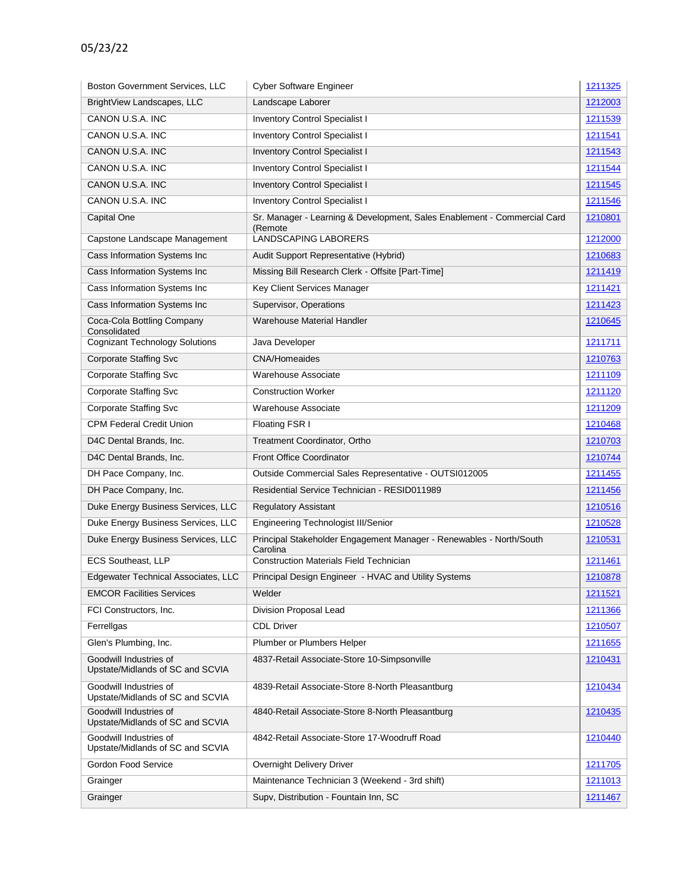| <b>Boston Government Services, LLC</b>                     | <b>Cyber Software Engineer</b>                                                      | 1211325 |
|------------------------------------------------------------|-------------------------------------------------------------------------------------|---------|
| BrightView Landscapes, LLC                                 | Landscape Laborer                                                                   | 1212003 |
| CANON U.S.A. INC                                           | Inventory Control Specialist I                                                      | 1211539 |
| CANON U.S.A. INC                                           | <b>Inventory Control Specialist I</b>                                               | 1211541 |
| CANON U.S.A. INC                                           | <b>Inventory Control Specialist I</b>                                               | 1211543 |
| CANON U.S.A. INC                                           | Inventory Control Specialist I                                                      | 1211544 |
| CANON U.S.A. INC                                           | <b>Inventory Control Specialist I</b>                                               | 1211545 |
| CANON U.S.A. INC                                           | <b>Inventory Control Specialist I</b>                                               | 1211546 |
| Capital One                                                | Sr. Manager - Learning & Development, Sales Enablement - Commercial Card<br>(Remote | 1210801 |
| Capstone Landscape Management                              | <b>LANDSCAPING LABORERS</b>                                                         | 1212000 |
| Cass Information Systems Inc                               | Audit Support Representative (Hybrid)                                               | 1210683 |
| Cass Information Systems Inc                               | Missing Bill Research Clerk - Offsite [Part-Time]                                   | 1211419 |
| Cass Information Systems Inc                               | Key Client Services Manager                                                         | 1211421 |
| Cass Information Systems Inc                               | Supervisor, Operations                                                              | 1211423 |
| Coca-Cola Bottling Company<br>Consolidated                 | Warehouse Material Handler                                                          | 1210645 |
| <b>Cognizant Technology Solutions</b>                      | Java Developer                                                                      | 1211711 |
| <b>Corporate Staffing Svc</b>                              | <b>CNA/Homeaides</b>                                                                | 1210763 |
| <b>Corporate Staffing Svc</b>                              | Warehouse Associate                                                                 | 1211109 |
| <b>Corporate Staffing Svc</b>                              | <b>Construction Worker</b>                                                          | 1211120 |
| <b>Corporate Staffing Svc</b>                              | Warehouse Associate                                                                 | 1211209 |
| <b>CPM Federal Credit Union</b>                            | Floating FSR I                                                                      | 1210468 |
| D4C Dental Brands, Inc.                                    | Treatment Coordinator, Ortho                                                        | 1210703 |
| D4C Dental Brands, Inc.                                    | <b>Front Office Coordinator</b>                                                     | 1210744 |
| DH Pace Company, Inc.                                      | Outside Commercial Sales Representative - OUTSI012005                               | 1211455 |
| DH Pace Company, Inc.                                      | Residential Service Technician - RESID011989                                        | 1211456 |
| Duke Energy Business Services, LLC                         | <b>Regulatory Assistant</b>                                                         | 1210516 |
| Duke Energy Business Services, LLC                         | <b>Engineering Technologist III/Senior</b>                                          | 1210528 |
| Duke Energy Business Services, LLC                         | Principal Stakeholder Engagement Manager - Renewables - North/South<br>Carolina     | 1210531 |
| <b>ECS Southeast, LLP</b>                                  | <b>Construction Materials Field Technician</b>                                      | 1211461 |
| Edgewater Technical Associates, LLC                        | Principal Design Engineer - HVAC and Utility Systems                                | 1210878 |
| <b>EMCOR Facilities Services</b>                           | Welder                                                                              | 1211521 |
| FCI Constructors, Inc.                                     | Division Proposal Lead                                                              | 1211366 |
| Ferrellgas                                                 | <b>CDL Driver</b>                                                                   | 1210507 |
| Glen's Plumbing, Inc.                                      | Plumber or Plumbers Helper                                                          | 1211655 |
| Goodwill Industries of<br>Upstate/Midlands of SC and SCVIA | 4837-Retail Associate-Store 10-Simpsonville                                         | 1210431 |
| Goodwill Industries of<br>Upstate/Midlands of SC and SCVIA | 4839-Retail Associate-Store 8-North Pleasantburg                                    | 1210434 |
| Goodwill Industries of<br>Upstate/Midlands of SC and SCVIA | 4840-Retail Associate-Store 8-North Pleasantburg                                    | 1210435 |
| Goodwill Industries of<br>Upstate/Midlands of SC and SCVIA | 4842-Retail Associate-Store 17-Woodruff Road                                        | 1210440 |
| Gordon Food Service                                        | Overnight Delivery Driver                                                           | 1211705 |
| Grainger                                                   | Maintenance Technician 3 (Weekend - 3rd shift)                                      | 1211013 |
| Grainger                                                   | Supv, Distribution - Fountain Inn, SC                                               | 1211467 |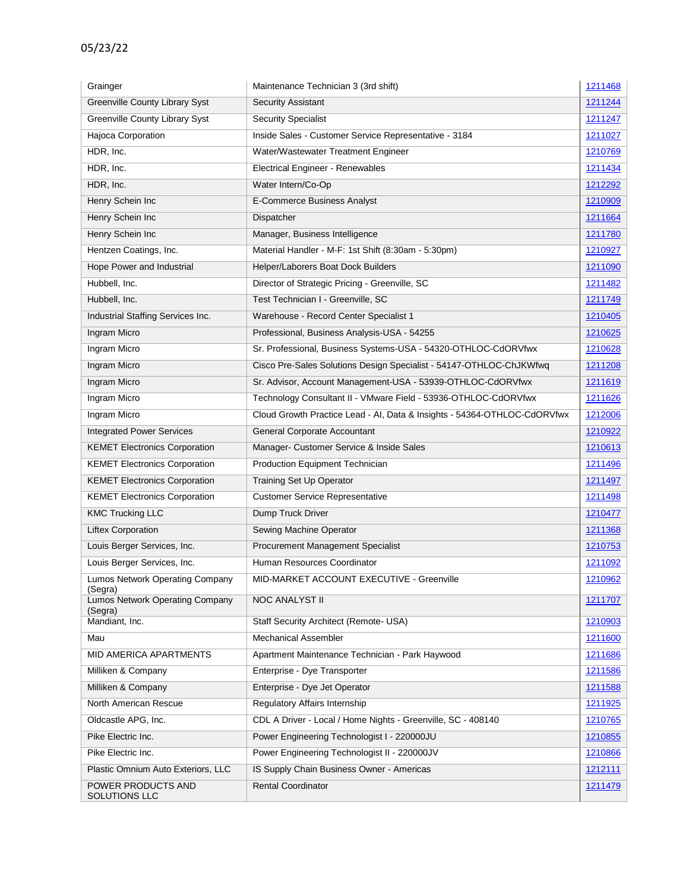| Grainger                                              | Maintenance Technician 3 (3rd shift)                                     | 1211468 |
|-------------------------------------------------------|--------------------------------------------------------------------------|---------|
| <b>Greenville County Library Syst</b>                 | <b>Security Assistant</b>                                                | 1211244 |
| Greenville County Library Syst                        | <b>Security Specialist</b>                                               | 1211247 |
| Hajoca Corporation                                    | Inside Sales - Customer Service Representative - 3184                    | 1211027 |
| HDR, Inc.                                             | Water/Wastewater Treatment Engineer                                      | 1210769 |
| HDR, Inc.                                             | <b>Electrical Engineer - Renewables</b>                                  | 1211434 |
| HDR, Inc.                                             | Water Intern/Co-Op                                                       | 1212292 |
| Henry Schein Inc                                      | E-Commerce Business Analyst                                              | 1210909 |
| Henry Schein Inc                                      | Dispatcher                                                               | 1211664 |
| Henry Schein Inc                                      | Manager, Business Intelligence                                           | 1211780 |
| Hentzen Coatings, Inc.                                | Material Handler - M-F: 1st Shift (8:30am - 5:30pm)                      | 1210927 |
| Hope Power and Industrial                             | Helper/Laborers Boat Dock Builders                                       | 1211090 |
| Hubbell, Inc.                                         | Director of Strategic Pricing - Greenville, SC                           | 1211482 |
| Hubbell, Inc.                                         | Test Technician I - Greenville, SC                                       | 1211749 |
| Industrial Staffing Services Inc.                     | Warehouse - Record Center Specialist 1                                   | 1210405 |
| Ingram Micro                                          | Professional, Business Analysis-USA - 54255                              | 1210625 |
| Ingram Micro                                          | Sr. Professional, Business Systems-USA - 54320-OTHLOC-CdORVfwx           | 1210628 |
| Ingram Micro                                          | Cisco Pre-Sales Solutions Design Specialist - 54147-OTHLOC-ChJKWfwq      | 1211208 |
| Ingram Micro                                          | Sr. Advisor, Account Management-USA - 53939-OTHLOC-CdORVfwx              | 1211619 |
| Ingram Micro                                          | Technology Consultant II - VMware Field - 53936-OTHLOC-CdORVfwx          | 1211626 |
| Ingram Micro                                          | Cloud Growth Practice Lead - AI, Data & Insights - 54364-OTHLOC-CdORVfwx | 1212006 |
| <b>Integrated Power Services</b>                      | General Corporate Accountant                                             | 1210922 |
| <b>KEMET Electronics Corporation</b>                  | Manager- Customer Service & Inside Sales                                 | 1210613 |
| <b>KEMET Electronics Corporation</b>                  | Production Equipment Technician                                          | 1211496 |
| <b>KEMET Electronics Corporation</b>                  | Training Set Up Operator                                                 | 1211497 |
| <b>KEMET Electronics Corporation</b>                  | <b>Customer Service Representative</b>                                   | 1211498 |
| <b>KMC Trucking LLC</b>                               | Dump Truck Driver                                                        | 1210477 |
| <b>Liftex Corporation</b>                             | Sewing Machine Operator                                                  | 1211368 |
| Louis Berger Services, Inc.                           | Procurement Management Specialist                                        | 1210753 |
| Louis Berger Services, Inc.                           | Human Resources Coordinator                                              | 1211092 |
| Lumos Network Operating Company                       | MID-MARKET ACCOUNT EXECUTIVE - Greenville                                | 1210962 |
| (Segra)<br>Lumos Network Operating Company<br>(Segra) | <b>NOC ANALYST II</b>                                                    | 1211707 |
| Mandiant, Inc.                                        | Staff Security Architect (Remote- USA)                                   | 1210903 |
| Mau                                                   | <b>Mechanical Assembler</b>                                              | 1211600 |
| <b>MID AMERICA APARTMENTS</b>                         | Apartment Maintenance Technician - Park Haywood                          | 1211686 |
| Milliken & Company                                    | Enterprise - Dye Transporter                                             | 1211586 |
| Milliken & Company                                    | Enterprise - Dye Jet Operator                                            | 1211588 |
| North American Rescue                                 | <b>Regulatory Affairs Internship</b>                                     | 1211925 |
| Oldcastle APG, Inc.                                   | CDL A Driver - Local / Home Nights - Greenville, SC - 408140             | 1210765 |
| Pike Electric Inc.                                    | Power Engineering Technologist I - 220000JU                              | 1210855 |
| Pike Electric Inc.                                    | Power Engineering Technologist II - 220000JV                             | 1210866 |
| Plastic Omnium Auto Exteriors, LLC                    | IS Supply Chain Business Owner - Americas                                | 1212111 |
| POWER PRODUCTS AND<br>SOLUTIONS LLC                   | <b>Rental Coordinator</b>                                                | 1211479 |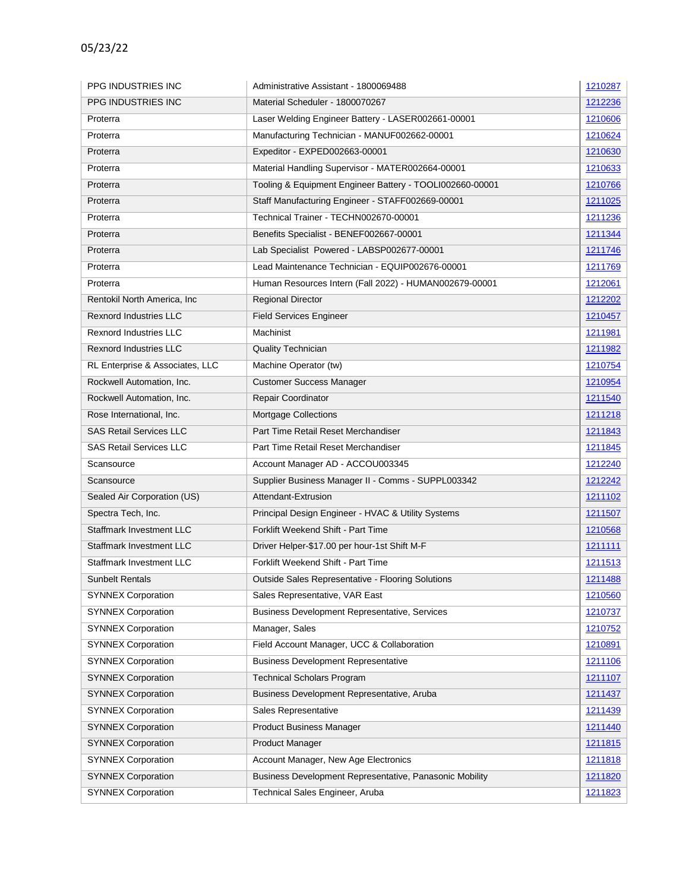| PPG INDUSTRIES INC              | Administrative Assistant - 1800069488                    | 1210287        |
|---------------------------------|----------------------------------------------------------|----------------|
| <b>PPG INDUSTRIES INC</b>       | Material Scheduler - 1800070267                          | 1212236        |
| Proterra                        | Laser Welding Engineer Battery - LASER002661-00001       | 1210606        |
| Proterra                        | Manufacturing Technician - MANUF002662-00001             | 1210624        |
| Proterra                        | Expeditor - EXPED002663-00001                            | 1210630        |
| Proterra                        | Material Handling Supervisor - MATER002664-00001         | 1210633        |
| Proterra                        | Tooling & Equipment Engineer Battery - TOOLI002660-00001 | 1210766        |
| Proterra                        | Staff Manufacturing Engineer - STAFF002669-00001         | <u>1211025</u> |
| Proterra                        | Technical Trainer - TECHN002670-00001                    | 1211236        |
| Proterra                        | Benefits Specialist - BENEF002667-00001                  | 1211344        |
| Proterra                        | Lab Specialist Powered - LABSP002677-00001               | 1211746        |
| Proterra                        | Lead Maintenance Technician - EQUIP002676-00001          | 1211769        |
| Proterra                        | Human Resources Intern (Fall 2022) - HUMAN002679-00001   | 1212061        |
| Rentokil North America, Inc.    | <b>Regional Director</b>                                 | 1212202        |
| <b>Rexnord Industries LLC</b>   | <b>Field Services Engineer</b>                           | 1210457        |
| <b>Rexnord Industries LLC</b>   | Machinist                                                | 1211981        |
| <b>Rexnord Industries LLC</b>   | <b>Quality Technician</b>                                | 1211982        |
| RL Enterprise & Associates, LLC | Machine Operator (tw)                                    | 1210754        |
| Rockwell Automation, Inc.       | <b>Customer Success Manager</b>                          | 1210954        |
| Rockwell Automation, Inc.       | Repair Coordinator                                       | 1211540        |
| Rose International, Inc.        | <b>Mortgage Collections</b>                              | 1211218        |
| <b>SAS Retail Services LLC</b>  | Part Time Retail Reset Merchandiser                      | 1211843        |
| <b>SAS Retail Services LLC</b>  | Part Time Retail Reset Merchandiser                      | 1211845        |
| Scansource                      | Account Manager AD - ACCOU003345                         | 1212240        |
| Scansource                      | Supplier Business Manager II - Comms - SUPPL003342       | 1212242        |
| Sealed Air Corporation (US)     | Attendant-Extrusion                                      | 1211102        |
| Spectra Tech, Inc.              | Principal Design Engineer - HVAC & Utility Systems       | 1211507        |
| <b>Staffmark Investment LLC</b> | Forklift Weekend Shift - Part Time                       | 1210568        |
| Staffmark Investment LLC        | Driver Helper-\$17.00 per hour-1st Shift M-F             | 1211111        |
| <b>Staffmark Investment LLC</b> | Forklift Weekend Shift - Part Time                       | 1211513        |
| <b>Sunbelt Rentals</b>          | Outside Sales Representative - Flooring Solutions        | 1211488        |
| <b>SYNNEX Corporation</b>       | Sales Representative, VAR East                           | 1210560        |
| <b>SYNNEX Corporation</b>       | Business Development Representative, Services            | 1210737        |
| <b>SYNNEX Corporation</b>       | Manager, Sales                                           | 1210752        |
| <b>SYNNEX Corporation</b>       | Field Account Manager, UCC & Collaboration               | 1210891        |
| <b>SYNNEX Corporation</b>       | <b>Business Development Representative</b>               | 1211106        |
| <b>SYNNEX Corporation</b>       | <b>Technical Scholars Program</b>                        | 1211107        |
| <b>SYNNEX Corporation</b>       | Business Development Representative, Aruba               | 1211437        |
| <b>SYNNEX Corporation</b>       | Sales Representative                                     | 1211439        |
| <b>SYNNEX Corporation</b>       | Product Business Manager                                 | 1211440        |
| <b>SYNNEX Corporation</b>       | <b>Product Manager</b>                                   | 1211815        |
| <b>SYNNEX Corporation</b>       | Account Manager, New Age Electronics                     | 1211818        |
| <b>SYNNEX Corporation</b>       | Business Development Representative, Panasonic Mobility  | 1211820        |
| <b>SYNNEX Corporation</b>       | Technical Sales Engineer, Aruba                          | 1211823        |